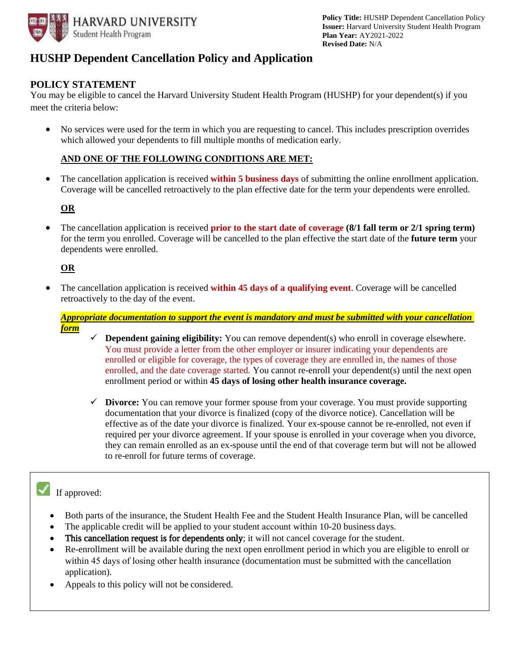

### **HUSHP Dependent Cancellation Policy and Application**

### **POLICY STATEMENT**

You may be eligible to cancel the Harvard University Student Health Program (HUSHP) for your dependent(s) if you meet the criteria below:

 No services were used for the term in which you are requesting to cancel. This includes prescription overrides which allowed your dependents to fill multiple months of medication early.

#### **AND ONE OF THE FOLLOWING CONDITIONS ARE MET:**

 The cancellation application is received **within 5 business days** of submitting the online enrollment application. Coverage will be cancelled retroactively to the plan effective date for the term your dependents were enrolled.

#### **OR**

• The cancellation application is received **prior to the start date of coverage (8/1 fall term or 2/1 spring term)** for the term you enrolled. Coverage will be cancelled to the plan effective the start date of the **future term** your dependents were enrolled.

#### **OR**

 The cancellation application is received **within 45 days of a qualifying event**. Coverage will be cancelled retroactively to the day of the event.

*Appropriate documentation to support the event is mandatory and must be submitted with your cancellation form* 

- You must provide a letter from the other employer or insurer indicating your dependents are **Dependent gaining eligibility:** You can remove dependent(s) who enroll in coverage elsewhere. enrolled or eligible for coverage, the types of coverage they are enrolled in, the names of those enrolled, and the date coverage started. You cannot re-enroll your dependent(s) until the next open enrollment period or within **45 days of losing other health insurance coverage.**
- **Divorce:** You can remove your former spouse from your coverage. You must provide supporting documentation that your divorce is finalized (copy of the divorce notice). Cancellation will be effective as of the date your divorce is finalized. Your ex-spouse cannot be re-enrolled, not even if required per your divorce agreement. If your spouse is enrolled in your coverage when you divorce, they can remain enrolled as an ex-spouse until the end of that coverage term but will not be allowed to re-enroll for future terms of coverage.

# If approved:

- Both parts of the insurance, the Student Health Fee and the Student Health Insurance Plan, will be cancelled
- The applicable credit will be applied to your student account within 10-20 business days.
- This cancellation request is for dependents only; it will not cancel coverage for the student.
- Re-enrollment will be available during the next open enrollment period in which you are eligible to enroll or within 45 days of losing other health insurance (documentation must be submitted with the cancellation application).
- Appeals to this policy will not be considered.